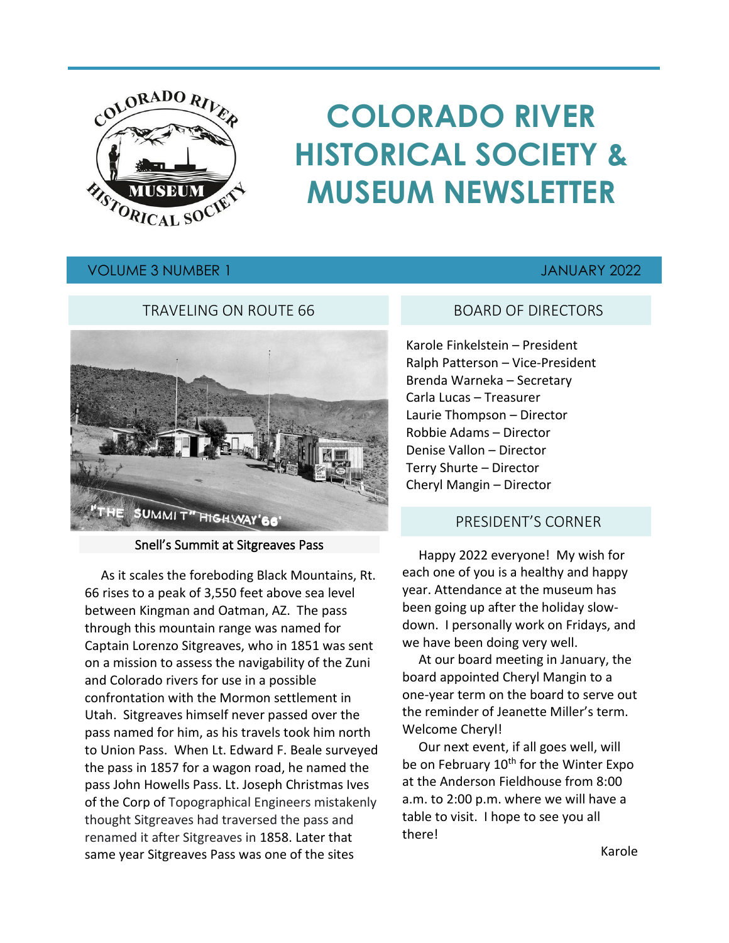

# **COLORADO RIVER HISTORICAL SOCIETY & MUSEUM NEWSLETTER**

## VOLUME 3 NUMBER 1 JANUARY 2022

#### TRAVELING ON ROUTE 66



#### Snell's Summit at Sitgreaves Pass

 As it scales the foreboding Black Mountains, Rt. 66 rises to a peak of 3,550 feet above sea level between Kingman and Oatman, AZ. The pass through this mountain range was named for Captain Lorenzo Sitgreaves, who in 1851 was sent on a mission to assess the navigability of the Zuni and Colorado rivers for use in a possible confrontation with the Mormon settlement in Utah. Sitgreaves himself never passed over the pass named for him, as his travels took him north to Union Pass. When Lt. Edward F. Beale surveyed the pass in 1857 for a wagon road, he named the pass John Howells Pass. Lt. Joseph Christmas Ives of the Corp of Topographical Engineers mistakenly thought Sitgreaves had traversed the pass and renamed it after Sitgreaves in 1858. Later that same year Sitgreaves Pass was one of the sites

#### BOARD OF DIRECTORS

Karole Finkelstein – President Ralph Patterson – Vice-President Brenda Warneka – Secretary Carla Lucas – Treasurer Laurie Thompson – Director Robbie Adams – Director Denise Vallon – Director Terry Shurte – Director Cheryl Mangin – Director

#### PRESIDENT'S CORNER

 Happy 2022 everyone! My wish for each one of you is a healthy and happy year. Attendance at the museum has been going up after the holiday slowdown. I personally work on Fridays, and we have been doing very well.

 At our board meeting in January, the board appointed Cheryl Mangin to a one-year term on the board to serve out the reminder of Jeanette Miller's term. Welcome Cheryl!

 Our next event, if all goes well, will be on February  $10<sup>th</sup>$  for the Winter Expo at the Anderson Fieldhouse from 8:00 a.m. to 2:00 p.m. where we will have a table to visit. I hope to see you all there!

Karole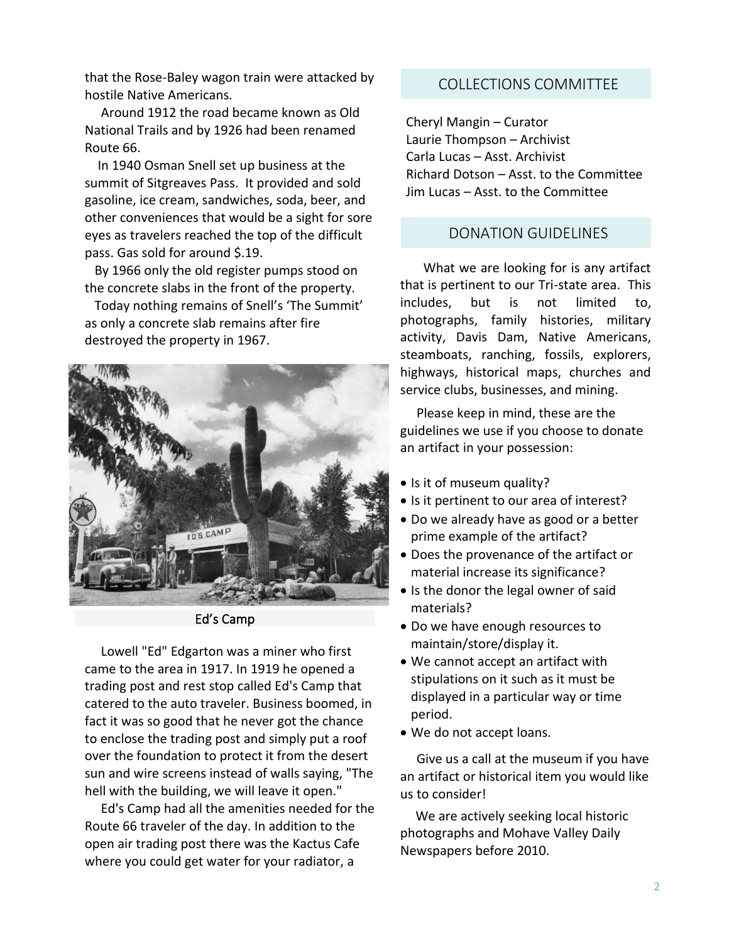that the Rose-Baley wagon train were attacked by hostile Native Americans.

 Around 1912 the road became known as Old National Trails and by 1926 had been renamed Route 66.

 In 1940 Osman Snell set up business at the summit of Sitgreaves Pass. It provided and sold gasoline, ice cream, sandwiches, soda, beer, and other conveniences that would be a sight for sore eyes as travelers reached the top of the difficult pass. Gas sold for around \$.19.

 By 1966 only the old register pumps stood on the concrete slabs in the front of the property.

 Today nothing remains of Snell's 'The Summit' as only a concrete slab remains after fire destroyed the property in 1967.



Ed's Camp

 Lowell "Ed" Edgarton was a miner who first came to the area in 1917. In 1919 he opened a trading post and rest stop called Ed's Camp that catered to the auto traveler. Business boomed, in fact it was so good that he never got the chance to enclose the trading post and simply put a roof over the foundation to protect it from the desert sun and wire screens instead of walls saying, "The hell with the building, we will leave it open."

 Ed's Camp had all the amenities needed for the Route 66 traveler of the day. In addition to the open air trading post there was the Kactus Cafe where you could get water for your radiator, a

## COLLECTIONS COMMITTEE

Cheryl Mangin – Curator Laurie Thompson – Archivist Carla Lucas – Asst. Archivist Richard Dotson – Asst. to the Committee Jim Lucas – Asst. to the Committee

#### DONATION GUIDELINES

 What we are looking for is any artifact that is pertinent to our Tri-state area. This includes, but is not limited to, photographs, family histories, military activity, Davis Dam, Native Americans, steamboats, ranching, fossils, explorers, highways, historical maps, churches and service clubs, businesses, and mining.

 Please keep in mind, these are the guidelines we use if you choose to donate an artifact in your possession:

- Is it of museum quality?
- Is it pertinent to our area of interest?
- Do we already have as good or a better prime example of the artifact?
- Does the provenance of the artifact or material increase its significance?
- Is the donor the legal owner of said materials?
- Do we have enough resources to maintain/store/display it.
- We cannot accept an artifact with stipulations on it such as it must be displayed in a particular way or time period.
- We do not accept loans.

 Give us a call at the museum if you have an artifact or historical item you would like us to consider!

 We are actively seeking local historic photographs and Mohave Valley Daily Newspapers before 2010.